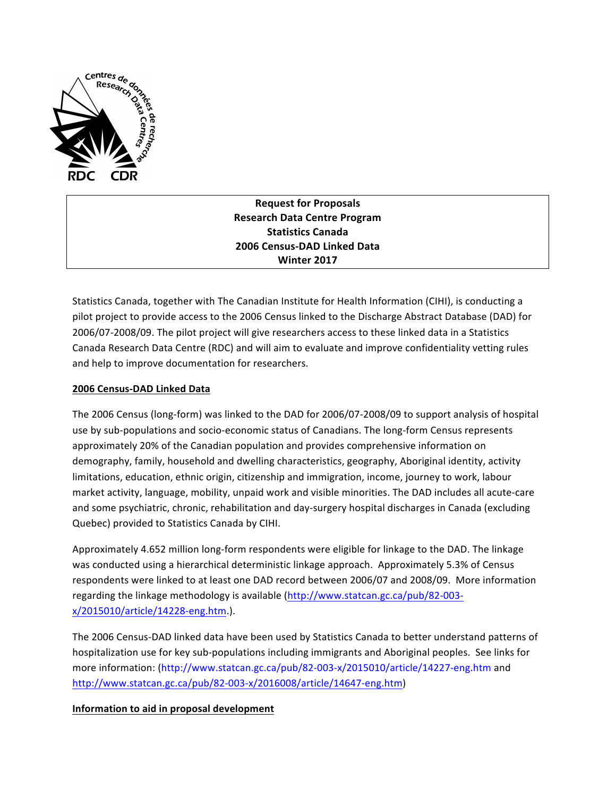

**Request for Proposals Research Data Centre Program Statistics Canada 2006 Census-DAD Linked Data Winter 2017**

Statistics Canada, together with The Canadian Institute for Health Information (CIHI), is conducting a pilot project to provide access to the 2006 Census linked to the Discharge Abstract Database (DAD) for 2006/07-2008/09. The pilot project will give researchers access to these linked data in a Statistics Canada Research Data Centre (RDC) and will aim to evaluate and improve confidentiality vetting rules and help to improve documentation for researchers.

## **2006 Census-DAD Linked Data**

The 2006 Census (long-form) was linked to the DAD for 2006/07-2008/09 to support analysis of hospital use by sub-populations and socio-economic status of Canadians. The long-form Census represents approximately 20% of the Canadian population and provides comprehensive information on demography, family, household and dwelling characteristics, geography, Aboriginal identity, activity limitations, education, ethnic origin, citizenship and immigration, income, journey to work, labour market activity, language, mobility, unpaid work and visible minorities. The DAD includes all acute-care and some psychiatric, chronic, rehabilitation and day-surgery hospital discharges in Canada (excluding Quebec) provided to Statistics Canada by CIHI.

Approximately 4.652 million long-form respondents were eligible for linkage to the DAD. The linkage was conducted using a hierarchical deterministic linkage approach. Approximately 5.3% of Census respondents were linked to at least one DAD record between 2006/07 and 2008/09. More information regarding the linkage methodology is available (http://www.statcan.gc.ca/pub/82-003x/2015010/article/14228-eng.htm.).

The 2006 Census-DAD linked data have been used by Statistics Canada to better understand patterns of hospitalization use for key sub-populations including immigrants and Aboriginal peoples. See links for more information: (http://www.statcan.gc.ca/pub/82-003-x/2015010/article/14227-eng.htm and http://www.statcan.gc.ca/pub/82-003-x/2016008/article/14647-eng.htm)

## **Information to aid in proposal development**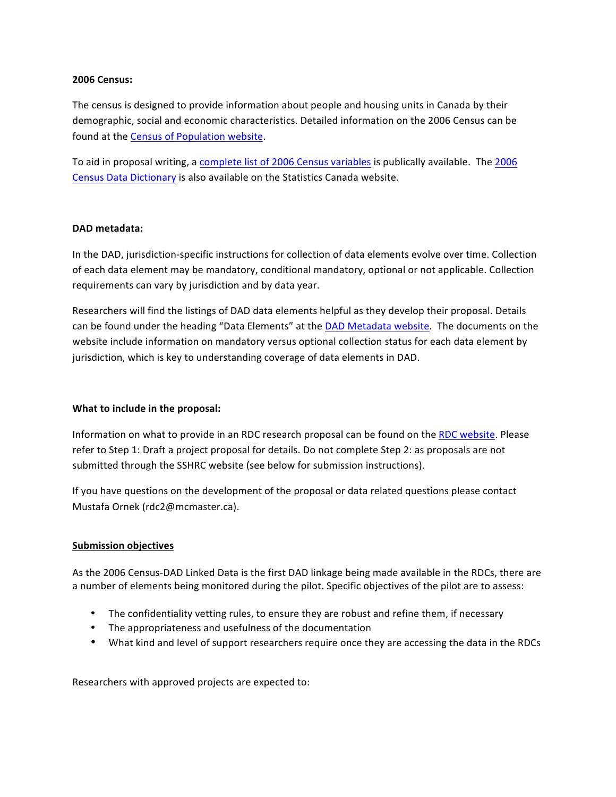#### **2006 Census:**

The census is designed to provide information about people and housing units in Canada by their demographic, social and economic characteristics. Detailed information on the 2006 Census can be found at the Census of Population website.

To aid in proposal writing, a complete list of 2006 Census variables is publically available. The 2006 Census Data Dictionary is also available on the Statistics Canada website.

### **DAD metadata:**

In the DAD, jurisdiction-specific instructions for collection of data elements evolve over time. Collection of each data element may be mandatory, conditional mandatory, optional or not applicable. Collection requirements can vary by jurisdiction and by data year.

Researchers will find the listings of DAD data elements helpful as they develop their proposal. Details can be found under the heading "Data Elements" at the DAD Metadata website. The documents on the website include information on mandatory versus optional collection status for each data element by jurisdiction, which is key to understanding coverage of data elements in DAD.

## **What to include in the proposal:**

Information on what to provide in an RDC research proposal can be found on the RDC website. Please refer to Step 1: Draft a project proposal for details. Do not complete Step 2: as proposals are not submitted through the SSHRC website (see below for submission instructions).

If you have questions on the development of the proposal or data related questions please contact Mustafa Ornek (rdc2@mcmaster.ca).

## **Submission objectives**

As the 2006 Census-DAD Linked Data is the first DAD linkage being made available in the RDCs, there are a number of elements being monitored during the pilot. Specific objectives of the pilot are to assess:

- The confidentiality vetting rules, to ensure they are robust and refine them, if necessary
- The appropriateness and usefulness of the documentation
- What kind and level of support researchers require once they are accessing the data in the RDCs

Researchers with approved projects are expected to: